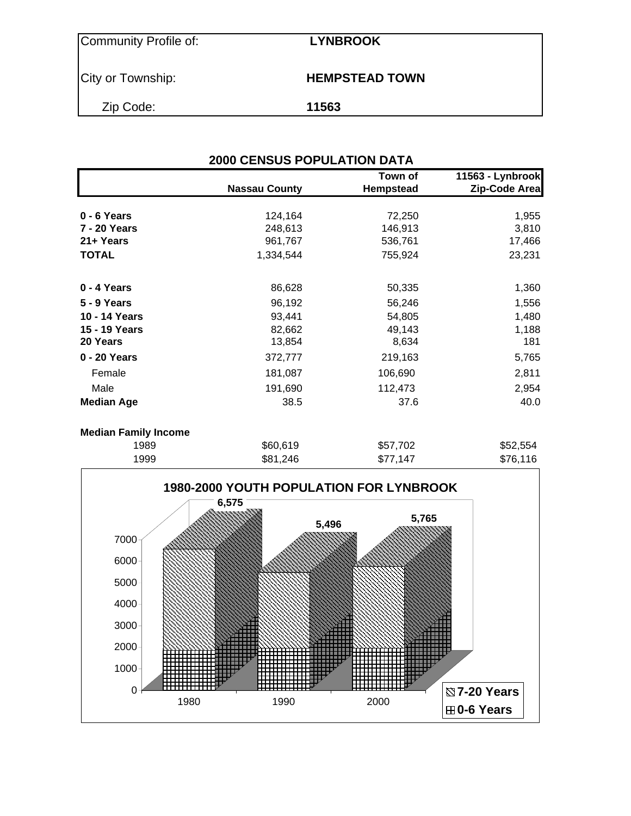Community Profile of: **LYNBROOK**

City or Township: **HEMPSTEAD TOWN** 

Zip Code: **11563**

|                             | <b>2000 CENSUS POPULATION DATA</b> |                      |                                   |
|-----------------------------|------------------------------------|----------------------|-----------------------------------|
|                             | <b>Nassau County</b>               | Town of<br>Hempstead | 11563 - Lynbrook<br>Zip-Code Area |
| $0 - 6$ Years               | 124,164                            | 72,250               | 1,955                             |
| 7 - 20 Years                | 248,613                            | 146,913              | 3,810                             |
| 21+ Years                   | 961,767                            | 536,761              | 17,466                            |
| <b>TOTAL</b>                | 1,334,544                          | 755,924              | 23,231                            |
| 0 - 4 Years                 | 86,628                             | 50,335               | 1,360                             |
| 5 - 9 Years                 | 96,192                             | 56,246               | 1,556                             |
| 10 - 14 Years               | 93,441                             | 54,805               | 1,480                             |
| 15 - 19 Years               | 82,662                             | 49,143               | 1,188                             |
| 20 Years                    | 13,854                             | 8,634                | 181                               |
| 0 - 20 Years                | 372,777                            | 219,163              | 5,765                             |
| Female                      | 181,087                            | 106,690              | 2,811                             |
| Male                        | 191,690                            | 112,473              | 2,954                             |
| <b>Median Age</b>           | 38.5                               | 37.6                 | 40.0                              |
| <b>Median Family Income</b> |                                    |                      |                                   |
| 1989                        | \$60,619                           | \$57,702             | \$52,554                          |
| 1999                        | \$81,246                           | \$77,147             | \$76,116                          |

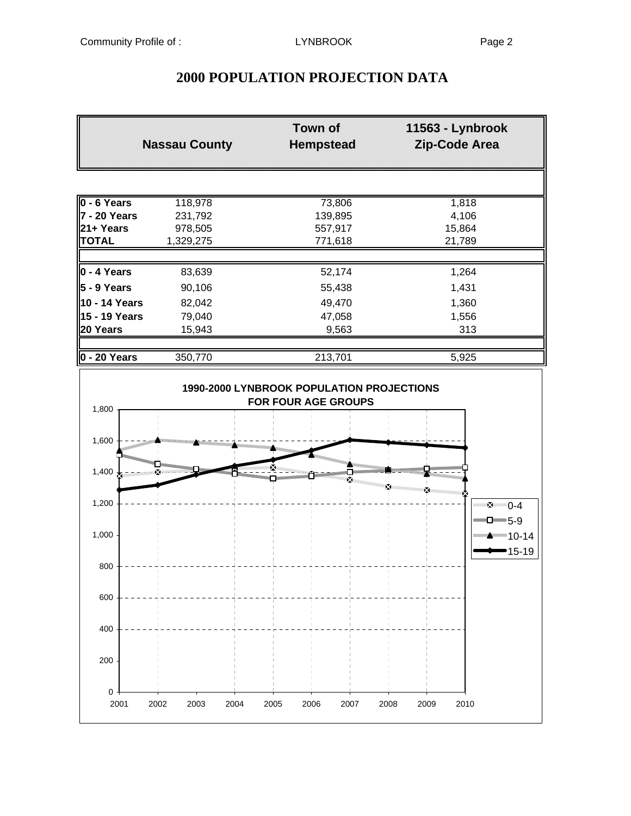## **2000 POPULATION PROJECTION DATA**

|                     | <b>Nassau County</b> | <b>Town of</b><br><b>Hempstead</b> | 11563 - Lynbrook<br>Zip-Code Area |
|---------------------|----------------------|------------------------------------|-----------------------------------|
|                     |                      |                                    |                                   |
| $\vert$ 0 - 6 Years | 118,978              | 73,806                             | 1,818                             |
| 7 - 20 Years        | 231,792              | 139,895                            | 4,106                             |
| l21+ Years          | 978,505              | 557,917                            | 15,864                            |
| <b>TOTAL</b>        | 1,329,275            | 771,618                            | 21,789                            |
|                     |                      |                                    |                                   |
| $0 - 4$ Years       | 83,639               | 52,174                             | 1,264                             |
| 5 - 9 Years         | 90,106               | 55,438                             | 1,431                             |
| 10 - 14 Years       | 82,042               | 49,470                             | 1,360                             |
| 15 - 19 Years       | 79,040               | 47,058                             | 1,556                             |
| 20 Years            | 15,943               | 9,563                              | 313                               |
|                     |                      |                                    |                                   |
| ll0 - 20 Years      | 350,770              | 213,701                            | 5,925                             |

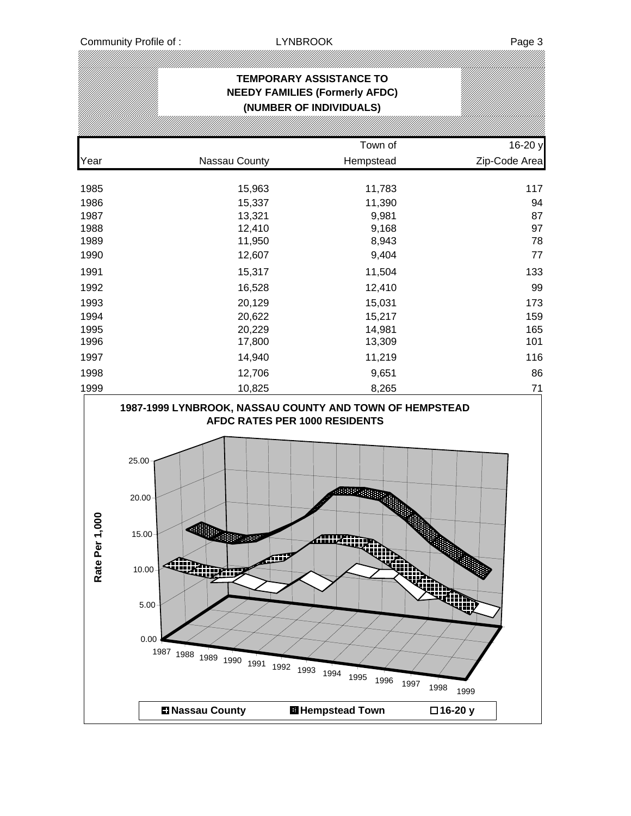|                            |                                                                                                                                                     | <b>TEMPORARY ASSISTANCE TO</b><br><b>NEEDY FAMILIES (Formerly AFDC)</b><br>(NUMBER OF INDIVIDUALS) |                           |
|----------------------------|-----------------------------------------------------------------------------------------------------------------------------------------------------|----------------------------------------------------------------------------------------------------|---------------------------|
|                            |                                                                                                                                                     |                                                                                                    |                           |
|                            |                                                                                                                                                     | Town of                                                                                            | 16-20 y                   |
| Year                       | Nassau County                                                                                                                                       | Hempstead                                                                                          | Zip-Code Area             |
| 1985<br>1986               | 15,963<br>15,337                                                                                                                                    | 11,783<br>11,390                                                                                   | 117<br>94                 |
| 1987                       | 13,321                                                                                                                                              | 9,981                                                                                              | 87                        |
| 1988<br>1989               | 12,410<br>11,950                                                                                                                                    | 9,168<br>8,943                                                                                     | 97<br>78                  |
| 1990                       | 12,607                                                                                                                                              | 9,404                                                                                              | 77                        |
| 1991                       | 15,317                                                                                                                                              | 11,504                                                                                             | 133                       |
| 1992                       | 16,528                                                                                                                                              | 12,410                                                                                             | 99                        |
| 1993                       | 20,129                                                                                                                                              | 15,031                                                                                             | 173                       |
| 1994                       | 20,622                                                                                                                                              | 15,217                                                                                             | 159                       |
| 1995<br>1996               | 20,229<br>17,800                                                                                                                                    | 14,981<br>13,309                                                                                   | 165<br>101                |
| 1997                       | 14,940                                                                                                                                              | 11,219                                                                                             | 116                       |
| 1998                       | 12,706                                                                                                                                              | 9,651                                                                                              | 86                        |
| 1999                       | 10,825                                                                                                                                              | 8,265                                                                                              | 71                        |
| $\overline{0}$<br>Rate Per | 25.00<br>$20.00 -$<br>15.00<br><b>ROBBB</b><br><b>Company</b><br>10.00<br>5.00 <sub>1</sub><br>0.00<br>1987 1988 1989 1990 1991 1992 1993 1994 1995 | AFDC RATES PER 1000 RESIDENTS<br>4888954<br>Allixandr<br>¢<br>イイン<br>1996                          | m<br>1997<br>1998<br>1999 |
|                            | <b>DI Nassau County</b>                                                                                                                             | <b>H</b> Hempstead Town                                                                            | □16-20 y                  |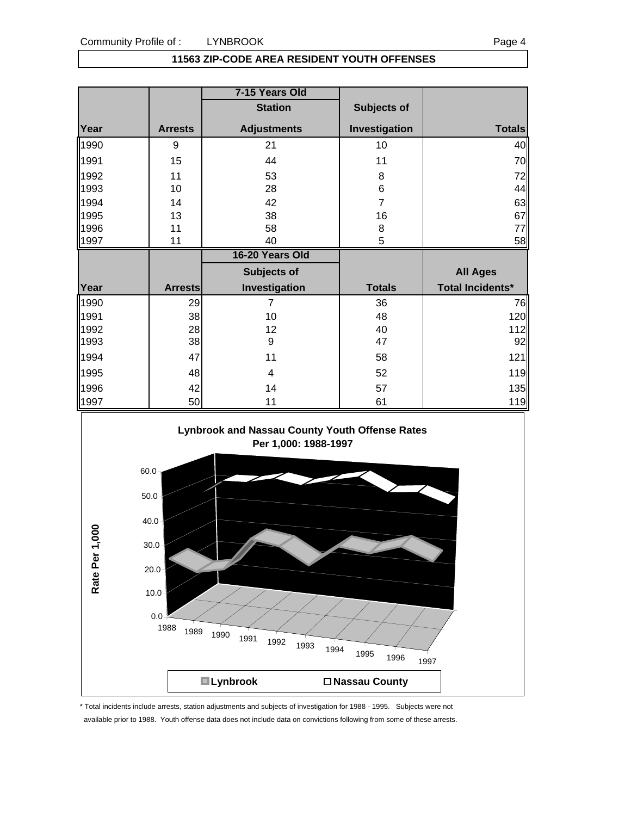#### **11563 ZIP-CODE AREA RESIDENT YOUTH OFFENSES**

|                      |                | 7-15 Years Old     |                |                         |
|----------------------|----------------|--------------------|----------------|-------------------------|
|                      |                | <b>Station</b>     | Subjects of    |                         |
| Year                 | <b>Arrests</b> | <b>Adjustments</b> | Investigation  | <b>Totals</b>           |
| 1990                 | 9              | 21                 | 10             | 40                      |
| 1991                 | 15             | 44                 | 11             | 70                      |
| 1992                 | 11             | 53                 | 8              | 72                      |
| 1993                 | 10             | 28                 | $6\phantom{1}$ | 44                      |
| 1994                 | 14             | 42                 | $\overline{7}$ | 63                      |
| 1995                 | 13             | 38                 | 16             | 67                      |
| 1996                 | 11             | 58                 | 8              | 77                      |
| 1997                 | 11             | 40                 | 5              | 58                      |
|                      |                |                    |                |                         |
|                      |                | 16-20 Years Old    |                |                         |
|                      |                | Subjects of        |                | <b>All Ages</b>         |
| Year                 | <b>Arrests</b> | Investigation      | <b>Totals</b>  | <b>Total Incidents*</b> |
|                      | 29             | $\overline{7}$     | 36             |                         |
|                      | 38             | 10                 | 48             |                         |
| 1990<br>1991<br>1992 | 28             | 12                 | 40             | 76<br>120<br>112        |
| 1993                 | 38             | 9                  | 47             | 92                      |
| 1994                 | 47             | 11                 | 58             |                         |
| 1995                 | 48             | 4                  | 52             | 121<br>119              |
| 1996                 | 42             | 14                 | 57             | 135                     |



\* Total incidents include arrests, station adjustments and subjects of investigation for 1988 - 1995. Subjects were not available prior to 1988. Youth offense data does not include data on convictions following from some of these arrests.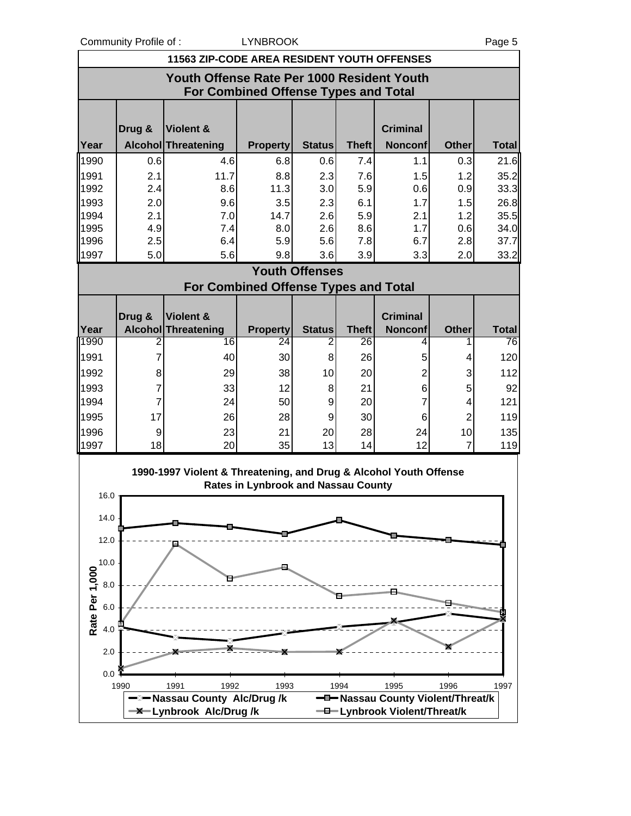Community Profile of : COMEXALLYNBROOK Page 5

|                | <b>11563 ZIP-CODE AREA RESIDENT YOUTH OFFENSES</b>                                 |                                                                   |                                            |                       |              |                                   |                      |              |  |
|----------------|------------------------------------------------------------------------------------|-------------------------------------------------------------------|--------------------------------------------|-----------------------|--------------|-----------------------------------|----------------------|--------------|--|
|                | Youth Offense Rate Per 1000 Resident Youth<br>For Combined Offense Types and Total |                                                                   |                                            |                       |              |                                   |                      |              |  |
|                | Drug &                                                                             | Violent &                                                         |                                            |                       |              | <b>Criminal</b>                   |                      |              |  |
| Year           |                                                                                    | Alcohol Threatening                                               | <b>Property</b>                            | <b>Status</b>         | <b>Theft</b> | <b>Nonconf</b>                    | <b>Other</b>         | <b>Total</b> |  |
| 1990           | 0.6                                                                                | 4.6                                                               | 6.8                                        | 0.6                   | 7.4          | 1.1                               | 0.3                  | 21.6         |  |
| 1991           | 2.1                                                                                | 11.7                                                              | 8.8                                        | 2.3                   | 7.6          | 1.5                               | 1.2                  | 35.2         |  |
| 1992           | 2.4                                                                                | 8.6                                                               | 11.3                                       | 3.0                   | 5.9          | 0.6                               | 0.9                  | 33.3         |  |
| 1993           | 2.0                                                                                | 9.6                                                               | 3.5                                        | 2.3                   | 6.1          | 1.7                               | 1.5                  | 26.8         |  |
| 1994           | 2.1                                                                                | 7.0                                                               | 14.7                                       | 2.6                   | 5.9          | 2.1                               | 1.2                  | 35.5         |  |
| 1995           | 4.9                                                                                | 7.4                                                               | 8.0                                        | 2.6                   | 8.6          | 1.7                               | 0.6                  | 34.0         |  |
| 1996           | 2.5                                                                                | 6.4                                                               | 5.9                                        | 5.6                   | 7.8          | 6.7                               | 2.8                  | 37.7         |  |
| 1997           | 5.0                                                                                | 5.6                                                               | 9.8                                        | 3.6                   | 3.9          | 3.3                               | 2.0                  | 33.2         |  |
|                |                                                                                    |                                                                   |                                            | <b>Youth Offenses</b> |              |                                   |                      |              |  |
|                |                                                                                    |                                                                   | For Combined Offense Types and Total       |                       |              |                                   |                      |              |  |
|                | Drug &                                                                             | Violent &                                                         |                                            |                       |              | <b>Criminal</b>                   |                      |              |  |
| Year<br>1990   |                                                                                    | <b>Alcohol Threatening</b>                                        | <b>Property</b>                            | <b>Status</b>         | <b>Theft</b> | <b>Nonconf</b>                    | <b>Other</b>         | <b>Total</b> |  |
|                | 2                                                                                  | 16                                                                | 24                                         | 2                     | 26           | 4                                 |                      | 76           |  |
| 1991           | 7                                                                                  | 40                                                                | 30                                         | 8                     | 26           | 5                                 | 4                    | 120          |  |
| 1992           | 8                                                                                  | 29                                                                | 38                                         | 10                    | 20           | 2                                 | 3                    | 112          |  |
| 1993           | 7                                                                                  | 33                                                                | 12                                         | 8                     | 21           | 6                                 | 5                    | 92           |  |
| 1994           | 7                                                                                  | 24                                                                | 50                                         | 9                     | 20           | 7                                 | 4                    | 121          |  |
| 1995<br>1996   | 17                                                                                 | 26                                                                | 28                                         | 9                     | 30           | 6                                 | 2                    | 119          |  |
| 1997           | 9<br>18                                                                            | 23<br>20                                                          | 21<br>35                                   | 20<br>13              | 28<br>14     | 24<br>12                          | 10<br>$\overline{7}$ | 135<br>119   |  |
|                |                                                                                    |                                                                   |                                            |                       |              |                                   |                      |              |  |
|                |                                                                                    | 1990-1997 Violent & Threatening, and Drug & Alcohol Youth Offense |                                            |                       |              |                                   |                      |              |  |
| 16.0           |                                                                                    |                                                                   | <b>Rates in Lynbrook and Nassau County</b> |                       |              |                                   |                      |              |  |
|                |                                                                                    |                                                                   |                                            |                       |              |                                   |                      |              |  |
| 14.0           |                                                                                    |                                                                   |                                            |                       |              |                                   |                      |              |  |
| 12.0           |                                                                                    |                                                                   |                                            |                       |              |                                   |                      |              |  |
| 10.0           |                                                                                    |                                                                   |                                            |                       |              |                                   |                      |              |  |
| Rate Per 1,000 |                                                                                    |                                                                   |                                            |                       |              |                                   |                      |              |  |
| 8.0            |                                                                                    |                                                                   |                                            |                       |              |                                   |                      |              |  |
| 6.0            |                                                                                    |                                                                   |                                            |                       |              |                                   |                      |              |  |
| 4.0            |                                                                                    |                                                                   |                                            |                       |              |                                   |                      |              |  |
|                |                                                                                    |                                                                   |                                            |                       |              |                                   |                      |              |  |
| 2.0            |                                                                                    |                                                                   |                                            |                       |              |                                   |                      |              |  |
| 0.0            |                                                                                    |                                                                   |                                            |                       |              |                                   |                      |              |  |
|                | 1990                                                                               | 1991<br>1992                                                      | 1993                                       |                       | 1994         | 1995                              | 1996                 | 1997         |  |
|                |                                                                                    | - <sup>2</sup> Nassau County Alc/Drug /k                          |                                            |                       |              | -D-Nassau County Violent/Threat/k |                      |              |  |
|                |                                                                                    | -X-Lynbrook Alc/Drug/k                                            |                                            |                       |              | -D-Lynbrook Violent/Threat/k      |                      |              |  |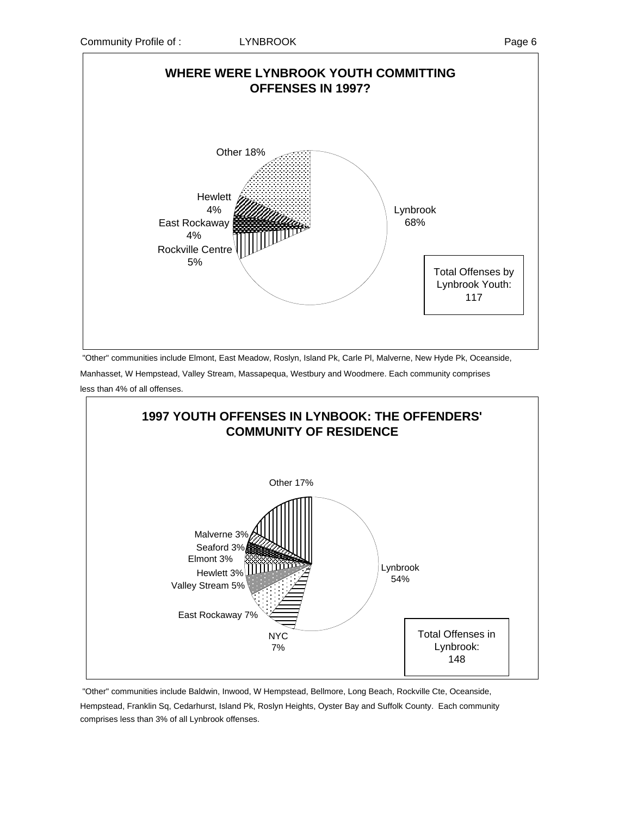

"Other" communities include Elmont, East Meadow, Roslyn, Island Pk, Carle Pl, Malverne, New Hyde Pk, Oceanside,

Manhasset, W Hempstead, Valley Stream, Massapequa, Westbury and Woodmere. Each community comprises less than 4% of all offenses.



 "Other" communities include Baldwin, Inwood, W Hempstead, Bellmore, Long Beach, Rockville Cte, Oceanside, Hempstead, Franklin Sq, Cedarhurst, Island Pk, Roslyn Heights, Oyster Bay and Suffolk County. Each community comprises less than 3% of all Lynbrook offenses.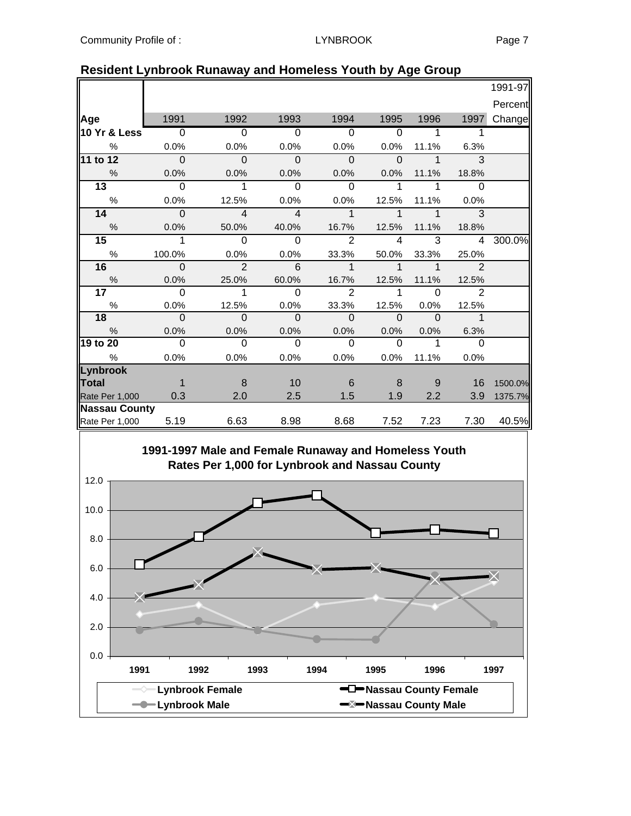|                 |                          |                |                          |                          |                |                |                            | 1991-97 |
|-----------------|--------------------------|----------------|--------------------------|--------------------------|----------------|----------------|----------------------------|---------|
|                 |                          |                |                          |                          |                |                |                            | Percent |
| Age             | 1991                     | 1992           | 1993                     | 1994                     | 1995           | 1996           | 1997                       | Change  |
| 10 Yr & Less    | $\overline{\phantom{0}}$ | $\Omega$       | $\Omega$                 | $\overline{0}$           | $\Omega$       |                |                            |         |
| %               | 0.0%                     | 0.0%           | 0.0%                     | 0.0%                     | 0.0%           | 11.1%          | 6.3%                       |         |
| 11 to 12        | $\overline{\phantom{0}}$ | $\Omega$       | $\overline{0}$           | $\Omega$                 | $\Omega$       | $\overline{1}$ | $\overline{3}$             |         |
| %               | 0.0%                     | 0.0%           | 0.0%                     | 0.0%                     | 0.0%           | 11.1%          | 18.8%                      |         |
| 13              | $\Omega$                 | $\mathbf{1}$   | $\Omega$                 | $\Omega$                 | -1             | 1              | $\Omega$                   |         |
| $\%$            | 0.0%                     | 12.5%          | 0.0%                     | 0.0%                     | 12.5%          | 11.1%          | 0.0%                       |         |
| 14              | $\Omega$                 | $\overline{4}$ | $\overline{4}$           | $\overline{1}$           | $\mathbf{1}$   | 1              | 3                          |         |
| $\frac{0}{0}$   | 0.0%                     | 50.0%          | 40.0%                    | 16.7%                    | 12.5%          | 11.1%          | 18.8%                      |         |
| 15 <sub>1</sub> | 1                        | $\Omega$       | $\Omega$                 | 2                        | $\overline{4}$ | 3              | $\overline{4}$             | 300.0%  |
| $\frac{0}{0}$   | 100.0%                   | 0.0%           | 0.0%                     | 33.3%                    | 50.0%          | 33.3%          | 25.0%                      |         |
| 16              | $\mathbf 0$              | $\overline{2}$ | $6\phantom{1}6$          | $\mathbf{1}$             | $\mathbf{1}$   | $\mathbf 1$    | $\overline{2}$             |         |
| %               | 0.0%                     | 25.0%          | 60.0%                    | 16.7%                    | 12.5%          | 11.1%          | 12.5%                      |         |
| 17 <sub>1</sub> | $\Omega$                 | $\mathbf{1}$   | $\Omega$                 | $\mathcal{P}$            | $\mathbf{1}$   | $\Omega$       | 2                          |         |
| $\%$            | 0.0%                     | 12.5%          | 0.0%                     | 33.3%                    | 12.5%          | $0.0\%$        | 12.5%                      |         |
| 18              | $\overline{0}$           | $\overline{0}$ | $\overline{\phantom{0}}$ | $\overline{\phantom{0}}$ | $\overline{0}$ | $\overline{0}$ | $\overline{\phantom{a}}$ 1 |         |
| $\frac{9}{6}$   | 0.0%                     | 0.0%           | 0.0%                     | 0.0%                     | 0.0%           | 0.0%           | 6.3%                       |         |
| 19 to 20        | $\Omega$                 | $\Omega$       | $\Omega$                 | $\Omega$                 | $\Omega$       | 1              | $\Omega$                   |         |
| $\%$            | 0.0%                     | 0.0%           | 0.0%                     | $0.0\%$                  | $0.0\%$        | 11.1%          | 0.0%                       |         |
| Lynbrook        |                          |                |                          |                          |                |                |                            |         |
| Total           | $\overline{1}$           | -8             | 10                       | 6                        | 8              | 9              | 16                         | 1500.0% |
| Rate Per 1,000  | 0.3                      | 2.0            | 2.5                      | 1.5                      | 1.9            | 2.2            | 3.9                        | 1375.7% |
| Nassau County   |                          |                |                          |                          |                |                |                            |         |
| Rate Per 1,000  | 5.19                     | 6.63           | 8.98                     | 8.68                     | 7.52           | 7.23           | 7.30                       | 40.5%   |

### **Resident Lynbrook Runaway and Homeless Youth by Age Group**

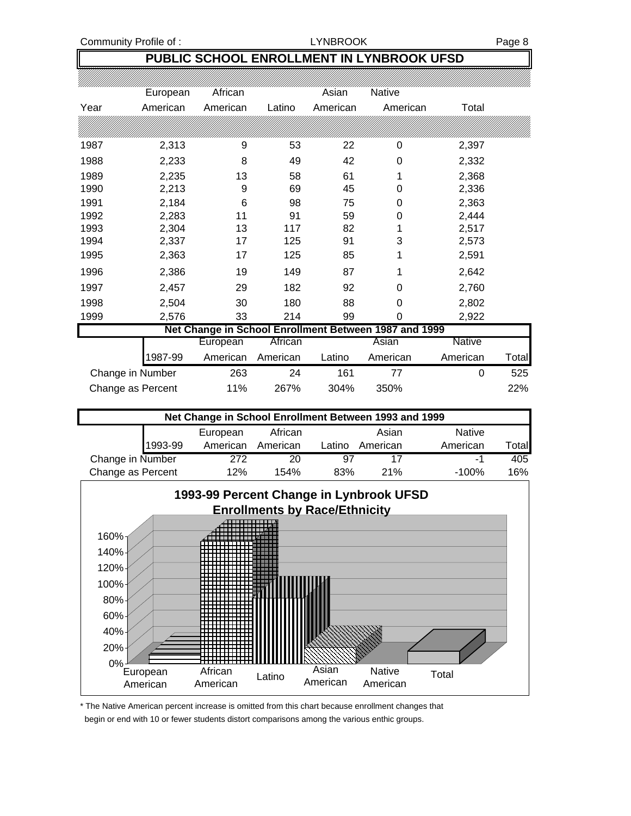Community Profile of : Community Profile of : Community Profile of : Community Profile of : Community Page 8

## **PUBLIC SCHOOL ENROLLMENT IN LYNBROOK UFSD**

|      | European          | African  |          | Asian    | <b>Native</b>                                         |               |       |
|------|-------------------|----------|----------|----------|-------------------------------------------------------|---------------|-------|
| Year | American          | American | Latino   | American | American                                              | Total         |       |
|      |                   |          |          |          |                                                       |               |       |
| 1987 | 2,313             | 9        | 53       | 22       | 0                                                     | 2,397         |       |
| 1988 | 2,233             | 8        | 49       | 42       | 0                                                     | 2,332         |       |
| 1989 | 2,235             | 13       | 58       | 61       | 1                                                     | 2,368         |       |
| 1990 | 2,213             | 9        | 69       | 45       | 0                                                     | 2,336         |       |
| 1991 | 2,184             | 6        | 98       | 75       | 0                                                     | 2,363         |       |
| 1992 | 2,283             | 11       | 91       | 59       | 0                                                     | 2,444         |       |
| 1993 | 2,304             | 13       | 117      | 82       | 1                                                     | 2,517         |       |
| 1994 | 2,337             | 17       | 125      | 91       | 3                                                     | 2,573         |       |
| 1995 | 2,363             | 17       | 125      | 85       | 1                                                     | 2,591         |       |
| 1996 | 2,386             | 19       | 149      | 87       | 1                                                     | 2,642         |       |
| 1997 | 2,457             | 29       | 182      | 92       | 0                                                     | 2,760         |       |
| 1998 | 2,504             | 30       | 180      | 88       | 0                                                     | 2,802         |       |
| 1999 | 2,576             | 33       | 214      | 99       | 0                                                     | 2,922         |       |
|      |                   |          |          |          | Net Change in School Enrollment Between 1987 and 1999 |               |       |
|      |                   | European | African  |          | Asian                                                 | <b>Native</b> |       |
|      | 1987-99           | American | American | Latino   | American                                              | American      | Total |
|      | Change in Number  | 263      | 24       | 161      | 77                                                    | 0             | 525   |
|      | Change as Percent | 11%      | 267%     | 304%     | 350%                                                  |               | 22%   |

| Net Change in School Enrollment Between 1993 and 1999 |          |          |        |          |               |        |  |
|-------------------------------------------------------|----------|----------|--------|----------|---------------|--------|--|
|                                                       | European | African  |        | Asian    | <b>Native</b> |        |  |
| 1993-99                                               | American | American | Latino | American | American      | ⊺otal∎ |  |
| Change in Number                                      | 272      | 20       | 97     |          | -1            | 405    |  |
| Change as Percent                                     | 12%      | 154%     | 83%    | 21%      | $-100%$       | 16%    |  |



\* The Native American percent increase is omitted from this chart because enrollment changes that begin or end with 10 or fewer students distort comparisons among the various enthic groups.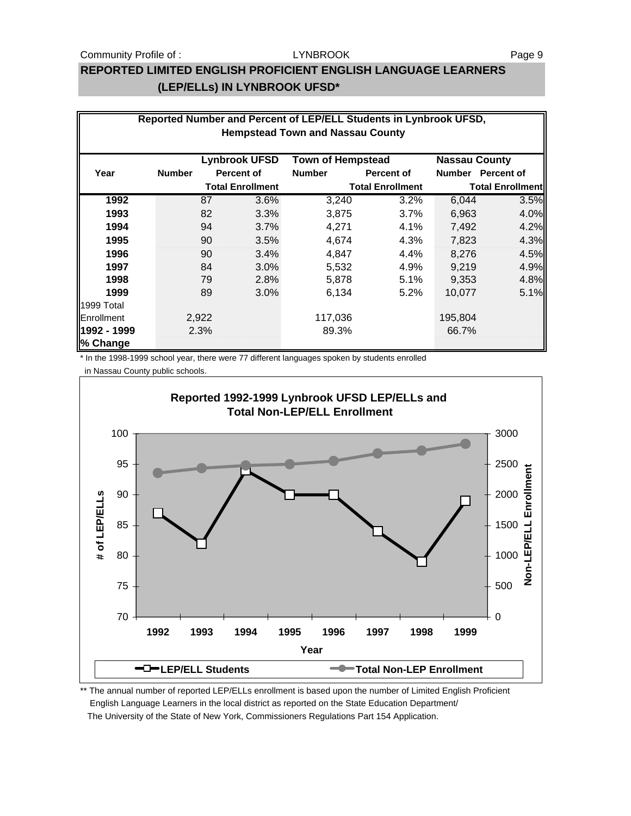#### Community Profile of : The Magnus LYNBROOK And The Page 9

#### LYNBROOK

## **REPORTED LIMITED ENGLISH PROFICIENT ENGLISH LANGUAGE LEARNERS (LEP/ELLs) IN LYNBROOK UFSD\***

|                         | Reported Number and Percent of LEP/ELL Students in Lynbrook UFSD,<br><b>Hempstead Town and Nassau County</b> |       |                         |                          |                         |                      |                         |  |
|-------------------------|--------------------------------------------------------------------------------------------------------------|-------|-------------------------|--------------------------|-------------------------|----------------------|-------------------------|--|
|                         |                                                                                                              |       |                         |                          |                         |                      |                         |  |
|                         |                                                                                                              |       | <b>Lynbrook UFSD</b>    | <b>Town of Hempstead</b> |                         | <b>Nassau County</b> |                         |  |
| Year                    | <b>Number</b>                                                                                                |       | <b>Percent of</b>       | <b>Number</b>            | <b>Percent of</b>       |                      | Number Percent of       |  |
|                         |                                                                                                              |       | <b>Total Enrollment</b> |                          | <b>Total Enrollment</b> |                      | <b>Total Enrollment</b> |  |
| 1992                    |                                                                                                              | 87    | 3.6%                    | 3,240                    | 3.2%                    | 6,044                | 3.5%                    |  |
| 1993                    |                                                                                                              | 82    | 3.3%                    | 3,875                    | 3.7%                    | 6,963                | 4.0%                    |  |
| 1994                    |                                                                                                              | 94    | 3.7%                    | 4,271                    | 4.1%                    | 7,492                | 4.2%                    |  |
| 1995                    |                                                                                                              | 90    | 3.5%                    | 4,674                    | 4.3%                    | 7,823                | 4.3%                    |  |
| 1996                    |                                                                                                              | 90    | 3.4%                    | 4,847                    | 4.4%                    | 8.276                | 4.5%                    |  |
| 1997                    |                                                                                                              | 84    | 3.0%                    | 5,532                    | 4.9%                    | 9,219                | 4.9%                    |  |
| 1998                    |                                                                                                              | 79    | 2.8%                    | 5,878                    | 5.1%                    | 9,353                | 4.8%                    |  |
| 1999                    |                                                                                                              | 89    | 3.0%                    | 6,134                    | 5.2%                    | 10,077               | 5.1%                    |  |
| 1999 Total              |                                                                                                              |       |                         |                          |                         |                      |                         |  |
| Enrollment              |                                                                                                              | 2,922 |                         | 117,036                  |                         | 195,804              |                         |  |
| 1992 - 1999<br>% Change |                                                                                                              | 2.3%  |                         | 89.3%                    |                         | 66.7%                |                         |  |

\* In the 1998-1999 school year, there were 77 different languages spoken by students enrolled

in Nassau County public schools.



\*\* The annual number of reported LEP/ELLs enrollment is based upon the number of Limited English Proficient English Language Learners in the local district as reported on the State Education Department/ The University of the State of New York, Commissioners Regulations Part 154 Application.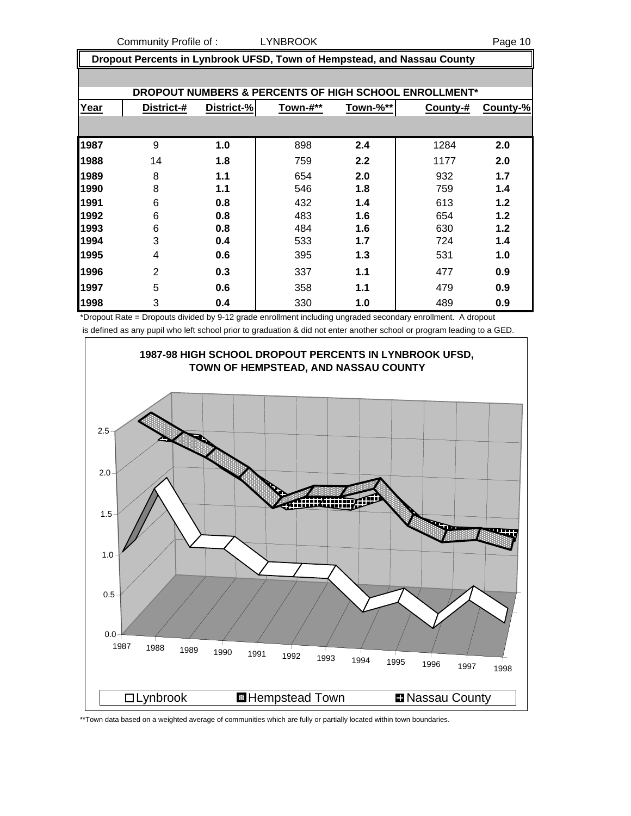Community Profile of : LYNBROOK Page 10

 **Dropout Percents in Lynbrook UFSD, Town of Hempstead, and Nassau County**

|      |                |            |          |          | <b>DROPOUT NUMBERS &amp; PERCENTS OF HIGH SCHOOL ENROLLMENT*</b> |          |
|------|----------------|------------|----------|----------|------------------------------------------------------------------|----------|
| Year | District-#     | District-% | Town-#** | Town-%** | County-#                                                         | County-% |
|      |                |            |          |          |                                                                  |          |
| 1987 | 9              | 1.0        | 898      | 2.4      | 1284                                                             | 2.0      |
| 1988 | 14             | 1.8        | 759      | 2.2      | 1177                                                             | 2.0      |
| 1989 | 8              | 1.1        | 654      | 2.0      | 932                                                              | 1.7      |
| 1990 | 8              | 1.1        | 546      | 1.8      | 759                                                              | 1.4      |
| 1991 | 6              | 0.8        | 432      | 1.4      | 613                                                              | 1.2      |
| 1992 | 6              | 0.8        | 483      | 1.6      | 654                                                              | 1.2      |
| 1993 | 6              | 0.8        | 484      | 1.6      | 630                                                              | 1.2      |
| 1994 | 3              | 0.4        | 533      | 1.7      | 724                                                              | 1.4      |
| 1995 | 4              | 0.6        | 395      | 1.3      | 531                                                              | 1.0      |
| 1996 | $\overline{2}$ | 0.3        | 337      | 1.1      | 477                                                              | 0.9      |
| 1997 | 5              | 0.6        | 358      | 1.1      | 479                                                              | 0.9      |
| 1998 | 3              | 0.4        | 330      | 1.0      | 489                                                              | 0.9      |

\*Dropout Rate = Dropouts divided by 9-12 grade enrollment including ungraded secondary enrollment. A dropout is defined as any pupil who left school prior to graduation & did not enter another school or program leading to a GED.



\*\*Town data based on a weighted average of communities which are fully or partially located within town boundaries.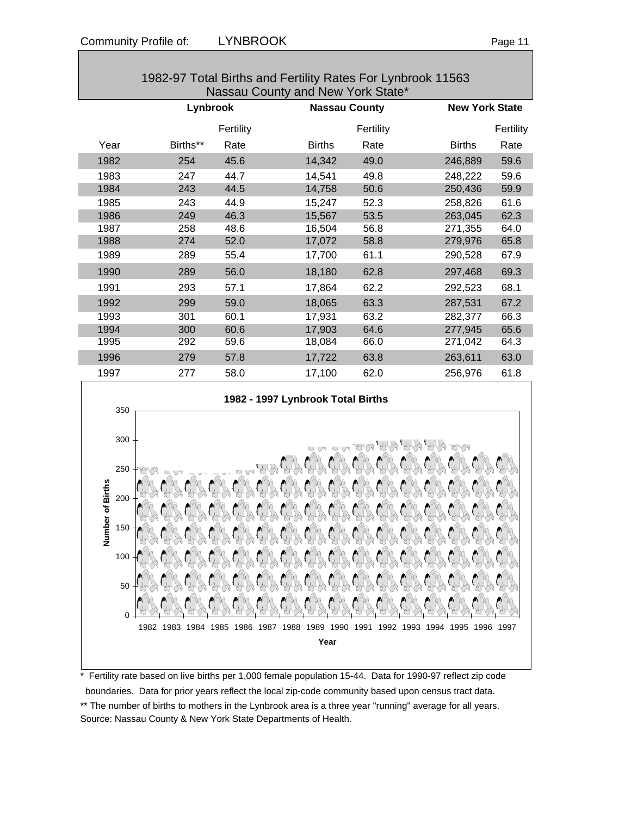|      | Lynbrook |           |                                   | <b>Nassau County</b> |               | <b>New York State</b> |  |
|------|----------|-----------|-----------------------------------|----------------------|---------------|-----------------------|--|
|      |          | Fertility |                                   | Fertility            |               | Fertility             |  |
| Year | Births** | Rate      | <b>Births</b>                     | Rate                 | <b>Births</b> | Rate                  |  |
| 1982 | 254      | 45.6      | 14,342                            | 49.0                 | 246,889       | 59.6                  |  |
| 1983 | 247      | 44.7      | 14,541                            | 49.8                 | 248,222       | 59.6                  |  |
| 1984 | 243      | 44.5      | 14,758                            | 50.6                 | 250,436       | 59.9                  |  |
| 1985 | 243      | 44.9      | 15,247                            | 52.3                 | 258,826       | 61.6                  |  |
| 1986 | 249      | 46.3      | 15,567                            | 53.5                 | 263,045       | 62.3                  |  |
| 1987 | 258      | 48.6      | 16,504                            | 56.8                 | 271,355       | 64.0                  |  |
| 1988 | 274      | 52.0      | 17,072                            | 58.8                 | 279,976       | 65.8                  |  |
| 1989 | 289      | 55.4      | 17,700                            | 61.1                 | 290,528       | 67.9                  |  |
| 1990 | 289      | 56.0      | 18,180                            | 62.8                 | 297,468       | 69.3                  |  |
| 1991 | 293      | 57.1      | 17,864                            | 62.2                 | 292,523       | 68.1                  |  |
| 1992 | 299      | 59.0      | 18,065                            | 63.3                 | 287,531       | 67.2                  |  |
| 1993 | 301      | 60.1      | 17,931                            | 63.2                 | 282,377       | 66.3                  |  |
| 1994 | 300      | 60.6      | 17,903                            | 64.6                 | 277,945       | 65.6                  |  |
| 1995 | 292      | 59.6      | 18,084                            | 66.0                 | 271,042       | 64.3                  |  |
| 1996 | 279      | 57.8      | 17,722                            | 63.8                 | 263,611       | 63.0                  |  |
| 1997 | 277      | 58.0      | 17,100                            | 62.0                 | 256,976       | 61.8                  |  |
| 350  |          |           | 1982 - 1997 Lynbrook Total Births |                      |               |                       |  |





Fertility rate based on live births per 1,000 female population 15-44. Data for 1990-97 reflect zip code boundaries. Data for prior years reflect the local zip-code community based upon census tract data. \*\* The number of births to mothers in the Lynbrook area is a three year "running" average for all years. Source: Nassau County & New York State Departments of Health.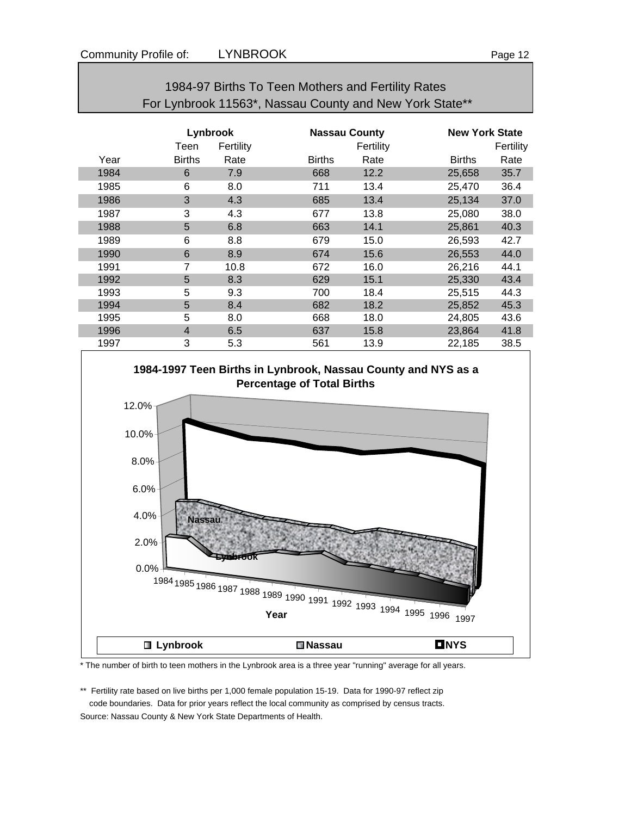|      |                |           | For Lynbrook 11563*, Nassau County and New York State** |           |               |           |
|------|----------------|-----------|---------------------------------------------------------|-----------|---------------|-----------|
|      | Lynbrook       |           | <b>New York State</b>                                   |           |               |           |
|      | Teen           | Fertility |                                                         | Fertility |               | Fertility |
| Year | <b>Births</b>  | Rate      | <b>Births</b>                                           | Rate      | <b>Births</b> | Rate      |
| 1984 | 6              | 7.9       | 668                                                     | 12.2      | 25,658        | 35.7      |
| 1985 | 6              | 8.0       | 711                                                     | 13.4      | 25,470        | 36.4      |
| 1986 | 3              | 4.3       | 685                                                     | 13.4      | 25,134        | 37.0      |
| 1987 | 3              | 4.3       | 677                                                     | 13.8      | 25,080        | 38.0      |
| 1988 | 5              | 6.8       | 663                                                     | 14.1      | 25,861        | 40.3      |
| 1989 | 6              | 8.8       | 679                                                     | 15.0      | 26,593        | 42.7      |
| 1990 | 6              | 8.9       | 674                                                     | 15.6      | 26,553        | 44.0      |
| 1991 | 7              | 10.8      | 672                                                     | 16.0      | 26,216        | 44.1      |
| 1992 | 5              | 8.3       | 629                                                     | 15.1      | 25,330        | 43.4      |
| 1993 | 5              | 9.3       | 700                                                     | 18.4      | 25,515        | 44.3      |
| 1994 | 5              | 8.4       | 682                                                     | 18.2      | 25,852        | 45.3      |
| 1995 | 5              | 8.0       | 668                                                     | 18.0      | 24,805        | 43.6      |
| 1996 | $\overline{4}$ | 6.5       | 637                                                     | 15.8      | 23,864        | 41.8      |
| 1997 | 3              | 5.3       | 561                                                     | 13.9      | 22,185        | 38.5      |





\* The number of birth to teen mothers in the Lynbrook area is a three year "running" average for all years.

\*\* Fertility rate based on live births per 1,000 female population 15-19. Data for 1990-97 reflect zip code boundaries. Data for prior years reflect the local community as comprised by census tracts. Source: Nassau County & New York State Departments of Health.